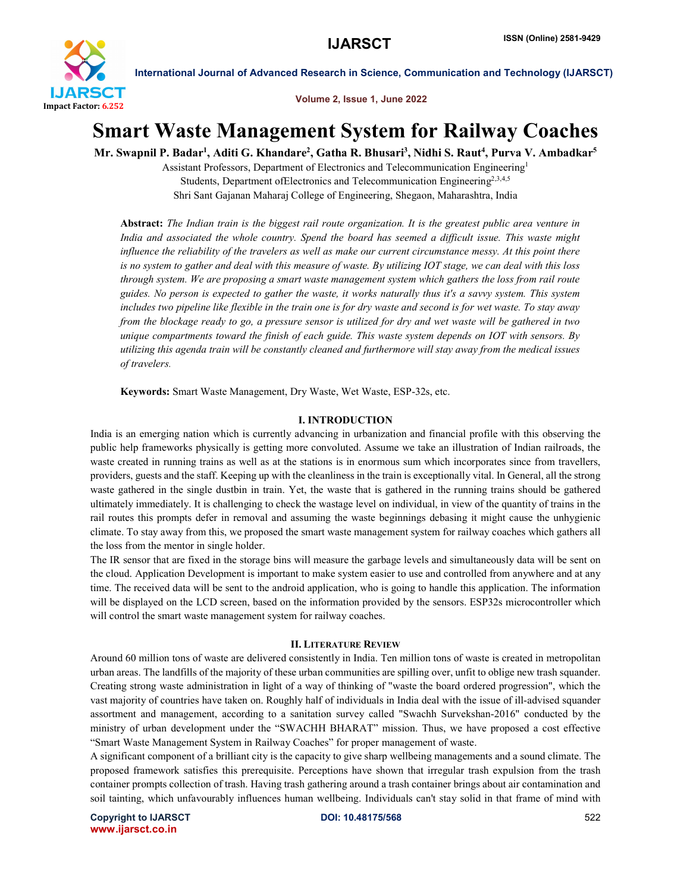

Volume 2, Issue 1, June 2022

International Journal of Advanced Research in Science, Communication and Technology (IJARSCT)

## Smart Waste Management System for Railway Coaches

Mr. Swapnil P. Badar<sup>1</sup>, Aditi G. Khandare<sup>2</sup>, Gatha R. Bhusari<sup>3</sup>, Nidhi S. Raut<sup>4</sup>, Purva V. Ambadkar<sup>5</sup>

Assistant Professors, Department of Electronics and Telecommunication Engineering1 Students, Department ofElectronics and Telecommunication Engineering<sup>2,3,4,5</sup> Shri Sant Gajanan Maharaj College of Engineering, Shegaon, Maharashtra, India

Abstract: *The Indian train is the biggest rail route organization. It is the greatest public area venture in India and associated the whole country. Spend the board has seemed a difficult issue. This waste might influence the reliability of the travelers as well as make our current circumstance messy. At this point there is no system to gather and deal with this measure of waste. By utilizing IOT stage, we can deal with this loss through system. We are proposing a smart waste management system which gathers the loss from rail route guides. No person is expected to gather the waste, it works naturally thus it's a savvy system. This system includes two pipeline like flexible in the train one is for dry waste and second is for wet waste. To stay away from the blockage ready to go, a pressure sensor is utilized for dry and wet waste will be gathered in two unique compartments toward the finish of each guide. This waste system depends on IOT with sensors. By utilizing this agenda train will be constantly cleaned and furthermore will stay away from the medical issues of travelers.*

Keywords: Smart Waste Management, Dry Waste, Wet Waste, ESP-32s, etc.

#### I. INTRODUCTION

India is an emerging nation which is currently advancing in urbanization and financial profile with this observing the public help frameworks physically is getting more convoluted. Assume we take an illustration of Indian railroads, the waste created in running trains as well as at the stations is in enormous sum which incorporates since from travellers, providers, guests and the staff. Keeping up with the cleanliness in the train is exceptionally vital. In General, all the strong waste gathered in the single dustbin in train. Yet, the waste that is gathered in the running trains should be gathered ultimately immediately. It is challenging to check the wastage level on individual, in view of the quantity of trains in the rail routes this prompts defer in removal and assuming the waste beginnings debasing it might cause the unhygienic climate. To stay away from this, we proposed the smart waste management system for railway coaches which gathers all the loss from the mentor in single holder.

The IR sensor that are fixed in the storage bins will measure the garbage levels and simultaneously data will be sent on the cloud. Application Development is important to make system easier to use and controlled from anywhere and at any time. The received data will be sent to the android application, who is going to handle this application. The information will be displayed on the LCD screen, based on the information provided by the sensors. ESP32s microcontroller which will control the smart waste management system for railway coaches.

#### II. LITERATURE REVIEW

Around 60 million tons of waste are delivered consistently in India. Ten million tons of waste is created in metropolitan urban areas. The landfills of the majority of these urban communities are spilling over, unfit to oblige new trash squander. Creating strong waste administration in light of a way of thinking of "waste the board ordered progression", which the vast majority of countries have taken on. Roughly half of individuals in India deal with the issue of ill-advised squander assortment and management, according to a sanitation survey called "Swachh Survekshan-2016" conducted by the ministry of urban development under the "SWACHH BHARAT" mission. Thus, we have proposed a cost effective "Smart Waste Management System in Railway Coaches" for proper management of waste.

A significant component of a brilliant city is the capacity to give sharp wellbeing managements and a sound climate. The proposed framework satisfies this prerequisite. Perceptions have shown that irregular trash expulsion from the trash container prompts collection of trash. Having trash gathering around a trash container brings about air contamination and soil tainting, which unfavourably influences human wellbeing. Individuals can't stay solid in that frame of mind with

Copyright to IJARSCT **DOI: 10.48175/568 S22** www.ijarsct.co.in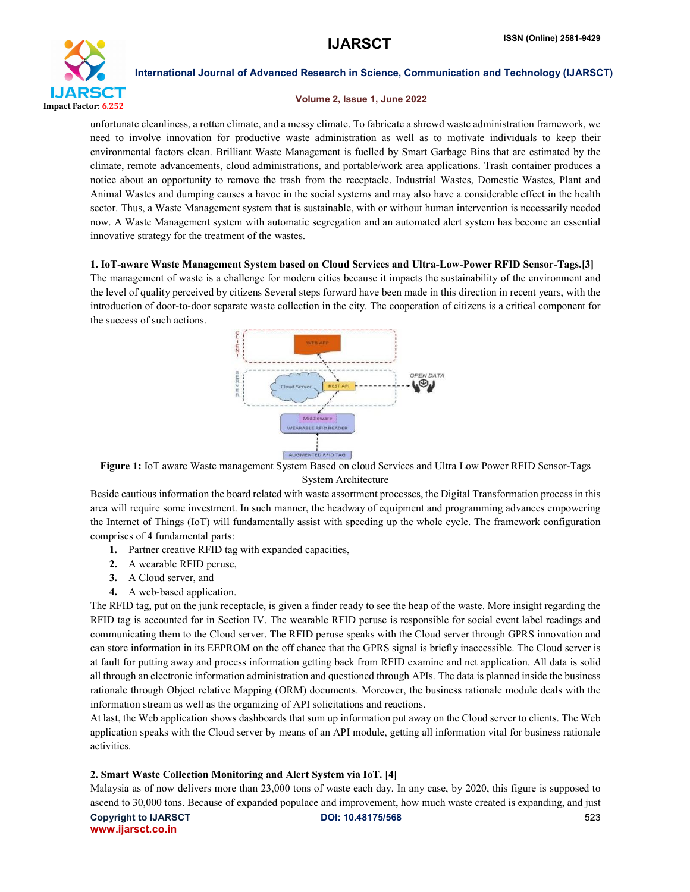

International Journal of Advanced Research in Science, Communication and Technology (IJARSCT)

#### Volume 2, Issue 1, June 2022

unfortunate cleanliness, a rotten climate, and a messy climate. To fabricate a shrewd waste administration framework, we need to involve innovation for productive waste administration as well as to motivate individuals to keep their environmental factors clean. Brilliant Waste Management is fuelled by Smart Garbage Bins that are estimated by the climate, remote advancements, cloud administrations, and portable/work area applications. Trash container produces a notice about an opportunity to remove the trash from the receptacle. Industrial Wastes, Domestic Wastes, Plant and Animal Wastes and dumping causes a havoc in the social systems and may also have a considerable effect in the health sector. Thus, a Waste Management system that is sustainable, with or without human intervention is necessarily needed now. A Waste Management system with automatic segregation and an automated alert system has become an essential innovative strategy for the treatment of the wastes.

#### 1. IoT-aware Waste Management System based on Cloud Services and Ultra-Low-Power RFID Sensor-Tags.[3]

The management of waste is a challenge for modern cities because it impacts the sustainability of the environment and the level of quality perceived by citizens Several steps forward have been made in this direction in recent years, with the introduction of door-to-door separate waste collection in the city. The cooperation of citizens is a critical component for the success of such actions.



Figure 1: IoT aware Waste management System Based on cloud Services and Ultra Low Power RFID Sensor-Tags System Architecture

Beside cautious information the board related with waste assortment processes, the Digital Transformation process in this area will require some investment. In such manner, the headway of equipment and programming advances empowering the Internet of Things (IoT) will fundamentally assist with speeding up the whole cycle. The framework configuration comprises of 4 fundamental parts:

- 1. Partner creative RFID tag with expanded capacities,
- 2. A wearable RFID peruse,
- 3. A Cloud server, and
- 4. A web-based application.

The RFID tag, put on the junk receptacle, is given a finder ready to see the heap of the waste. More insight regarding the RFID tag is accounted for in Section IV. The wearable RFID peruse is responsible for social event label readings and communicating them to the Cloud server. The RFID peruse speaks with the Cloud server through GPRS innovation and can store information in its EEPROM on the off chance that the GPRS signal is briefly inaccessible. The Cloud server is at fault for putting away and process information getting back from RFID examine and net application. All data is solid all through an electronic information administration and questioned through APIs. The data is planned inside the business rationale through Object relative Mapping (ORM) documents. Moreover, the business rationale module deals with the information stream as well as the organizing of API solicitations and reactions.

At last, the Web application shows dashboards that sum up information put away on the Cloud server to clients. The Web application speaks with the Cloud server by means of an API module, getting all information vital for business rationale activities.

### 2. Smart Waste Collection Monitoring and Alert System via IoT. [4]

Malaysia as of now delivers more than 23,000 tons of waste each day. In any case, by 2020, this figure is supposed to ascend to 30,000 tons. Because of expanded populace and improvement, how much waste created is expanding, and just

Copyright to IJARSCT **DOI: 10.48175/568** 523 www.ijarsct.co.in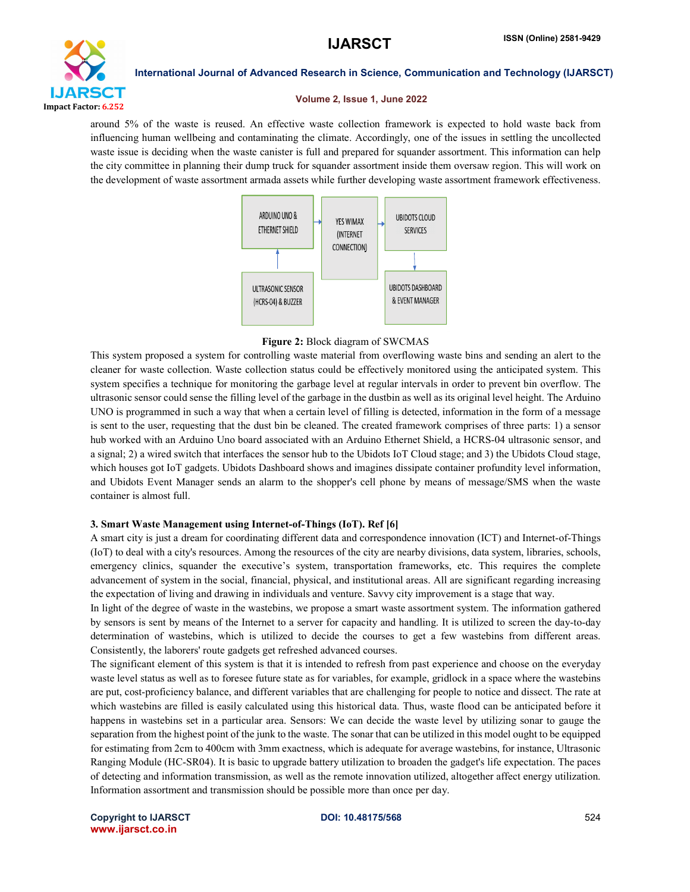

International Journal of Advanced Research in Science, Communication and Technology (IJARSCT)

#### Volume 2, Issue 1, June 2022

around 5% of the waste is reused. An effective waste collection framework is expected to hold waste back from influencing human wellbeing and contaminating the climate. Accordingly, one of the issues in settling the uncollected waste issue is deciding when the waste canister is full and prepared for squander assortment. This information can help the city committee in planning their dump truck for squander assortment inside them oversaw region. This will work on the development of waste assortment armada assets while further developing waste assortment framework effectiveness.



#### Figure 2: Block diagram of SWCMAS

This system proposed a system for controlling waste material from overflowing waste bins and sending an alert to the cleaner for waste collection. Waste collection status could be effectively monitored using the anticipated system. This system specifies a technique for monitoring the garbage level at regular intervals in order to prevent bin overflow. The ultrasonic sensor could sense the filling level of the garbage in the dustbin as well as its original level height. The Arduino UNO is programmed in such a way that when a certain level of filling is detected, information in the form of a message is sent to the user, requesting that the dust bin be cleaned. The created framework comprises of three parts: 1) a sensor hub worked with an Arduino Uno board associated with an Arduino Ethernet Shield, a HCRS-04 ultrasonic sensor, and a signal; 2) a wired switch that interfaces the sensor hub to the Ubidots IoT Cloud stage; and 3) the Ubidots Cloud stage, which houses got IoT gadgets. Ubidots Dashboard shows and imagines dissipate container profundity level information, and Ubidots Event Manager sends an alarm to the shopper's cell phone by means of message/SMS when the waste container is almost full.

### 3. Smart Waste Management using Internet-of-Things (IoT). Ref [6]

A smart city is just a dream for coordinating different data and correspondence innovation (ICT) and Internet-of-Things (IoT) to deal with a city's resources. Among the resources of the city are nearby divisions, data system, libraries, schools, emergency clinics, squander the executive's system, transportation frameworks, etc. This requires the complete advancement of system in the social, financial, physical, and institutional areas. All are significant regarding increasing the expectation of living and drawing in individuals and venture. Savvy city improvement is a stage that way.

In light of the degree of waste in the wastebins, we propose a smart waste assortment system. The information gathered by sensors is sent by means of the Internet to a server for capacity and handling. It is utilized to screen the day-to-day determination of wastebins, which is utilized to decide the courses to get a few wastebins from different areas. Consistently, the laborers' route gadgets get refreshed advanced courses.

The significant element of this system is that it is intended to refresh from past experience and choose on the everyday waste level status as well as to foresee future state as for variables, for example, gridlock in a space where the wastebins are put, cost-proficiency balance, and different variables that are challenging for people to notice and dissect. The rate at which wastebins are filled is easily calculated using this historical data. Thus, waste flood can be anticipated before it happens in wastebins set in a particular area. Sensors: We can decide the waste level by utilizing sonar to gauge the separation from the highest point of the junk to the waste. The sonar that can be utilized in this model ought to be equipped for estimating from 2cm to 400cm with 3mm exactness, which is adequate for average wastebins, for instance, Ultrasonic Ranging Module (HC-SR04). It is basic to upgrade battery utilization to broaden the gadget's life expectation. The paces of detecting and information transmission, as well as the remote innovation utilized, altogether affect energy utilization. Information assortment and transmission should be possible more than once per day.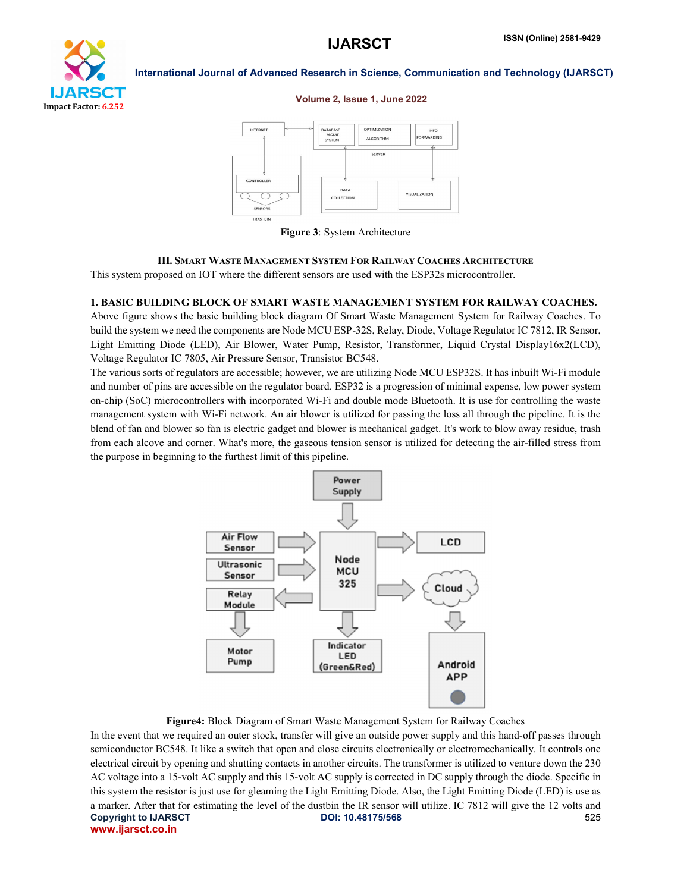# IJARSCT Impact Factor: 6.252

#### International Journal of Advanced Research in Science, Communication and Technology (IJARSCT)

#### Volume 2, Issue 1, June 2022



Figure 3: System Architecture

#### III. SMART WASTE MANAGEMENT SYSTEM FOR RAILWAY COACHES ARCHITECTURE

This system proposed on IOT where the different sensors are used with the ESP32s microcontroller.

#### 1. BASIC BUILDING BLOCK OF SMART WASTE MANAGEMENT SYSTEM FOR RAILWAY COACHES.

Above figure shows the basic building block diagram Of Smart Waste Management System for Railway Coaches. To build the system we need the components are Node MCU ESP-32S, Relay, Diode, Voltage Regulator IC 7812, IR Sensor, Light Emitting Diode (LED), Air Blower, Water Pump, Resistor, Transformer, Liquid Crystal Display16x2(LCD), Voltage Regulator IC 7805, Air Pressure Sensor, Transistor BC548.

The various sorts of regulators are accessible; however, we are utilizing Node MCU ESP32S. It has inbuilt Wi-Fi module and number of pins are accessible on the regulator board. ESP32 is a progression of minimal expense, low power system on-chip (SoC) microcontrollers with incorporated Wi-Fi and double mode Bluetooth. It is use for controlling the waste management system with Wi-Fi network. An air blower is utilized for passing the loss all through the pipeline. It is the blend of fan and blower so fan is electric gadget and blower is mechanical gadget. It's work to blow away residue, trash from each alcove and corner. What's more, the gaseous tension sensor is utilized for detecting the air-filled stress from the purpose in beginning to the furthest limit of this pipeline.



Figure4: Block Diagram of Smart Waste Management System for Railway Coaches

Copyright to IJARSCT **DOI: 10.48175/568** 525 www.ijarsct.co.in In the event that we required an outer stock, transfer will give an outside power supply and this hand-off passes through semiconductor BC548. It like a switch that open and close circuits electronically or electromechanically. It controls one electrical circuit by opening and shutting contacts in another circuits. The transformer is utilized to venture down the 230 AC voltage into a 15-volt AC supply and this 15-volt AC supply is corrected in DC supply through the diode. Specific in this system the resistor is just use for gleaming the Light Emitting Diode. Also, the Light Emitting Diode (LED) is use as a marker. After that for estimating the level of the dustbin the IR sensor will utilize. IC 7812 will give the 12 volts and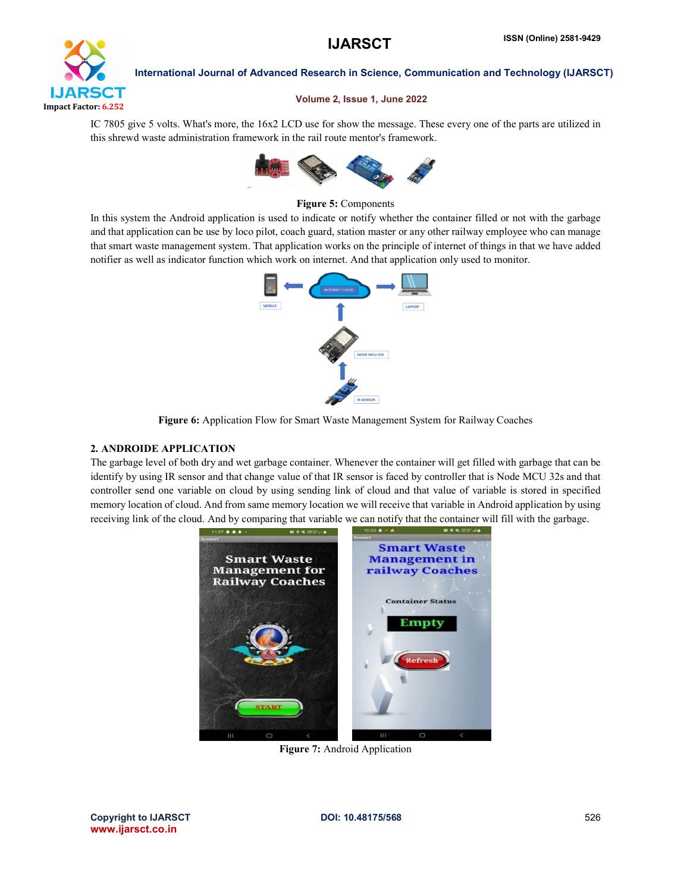# **IJARSCT** Impact Factor: 6.252

International Journal of Advanced Research in Science, Communication and Technology (IJARSCT)

#### Volume 2, Issue 1, June 2022

IC 7805 give 5 volts. What's more, the 16x2 LCD use for show the message. These every one of the parts are utilized in this shrewd waste administration framework in the rail route mentor's framework.



#### Figure 5: Components

In this system the Android application is used to indicate or notify whether the container filled or not with the garbage and that application can be use by loco pilot, coach guard, station master or any other railway employee who can manage that smart waste management system. That application works on the principle of internet of things in that we have added notifier as well as indicator function which work on internet. And that application only used to monitor.



Figure 6: Application Flow for Smart Waste Management System for Railway Coaches

#### 2. ANDROIDE APPLICATION

The garbage level of both dry and wet garbage container. Whenever the container will get filled with garbage that can be identify by using IR sensor and that change value of that IR sensor is faced by controller that is Node MCU 32s and that controller send one variable on cloud by using sending link of cloud and that value of variable is stored in specified memory location of cloud. And from same memory location we will receive that variable in Android application by using receiving link of the cloud. And by comparing that variable we can notify that the container will fill with the garbage.



Figure 7: Android Application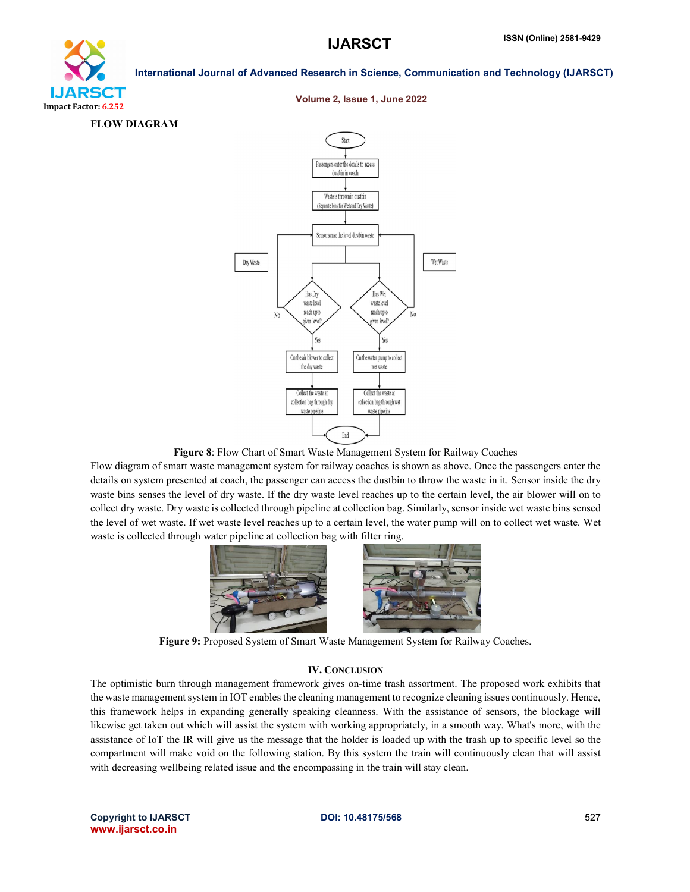

FLOW DIAGRAM

#### International Journal of Advanced Research in Science, Communication and Technology (IJARSCT)

#### Volume 2, Issue 1, June 2022



Figure 8: Flow Chart of Smart Waste Management System for Railway Coaches

Flow diagram of smart waste management system for railway coaches is shown as above. Once the passengers enter the details on system presented at coach, the passenger can access the dustbin to throw the waste in it. Sensor inside the dry waste bins senses the level of dry waste. If the dry waste level reaches up to the certain level, the air blower will on to collect dry waste. Dry waste is collected through pipeline at collection bag. Similarly, sensor inside wet waste bins sensed the level of wet waste. If wet waste level reaches up to a certain level, the water pump will on to collect wet waste. Wet waste is collected through water pipeline at collection bag with filter ring.



Figure 9: Proposed System of Smart Waste Management System for Railway Coaches.

#### IV. CONCLUSION

The optimistic burn through management framework gives on-time trash assortment. The proposed work exhibits that the waste management system in IOT enables the cleaning management to recognize cleaning issues continuously. Hence, this framework helps in expanding generally speaking cleanness. With the assistance of sensors, the blockage will likewise get taken out which will assist the system with working appropriately, in a smooth way. What's more, with the assistance of IoT the IR will give us the message that the holder is loaded up with the trash up to specific level so the compartment will make void on the following station. By this system the train will continuously clean that will assist with decreasing wellbeing related issue and the encompassing in the train will stay clean.

Copyright to IJARSCT **DOI: 10.48175/568 Example 2012 Copyright to IJARSCT** 527 www.ijarsct.co.in